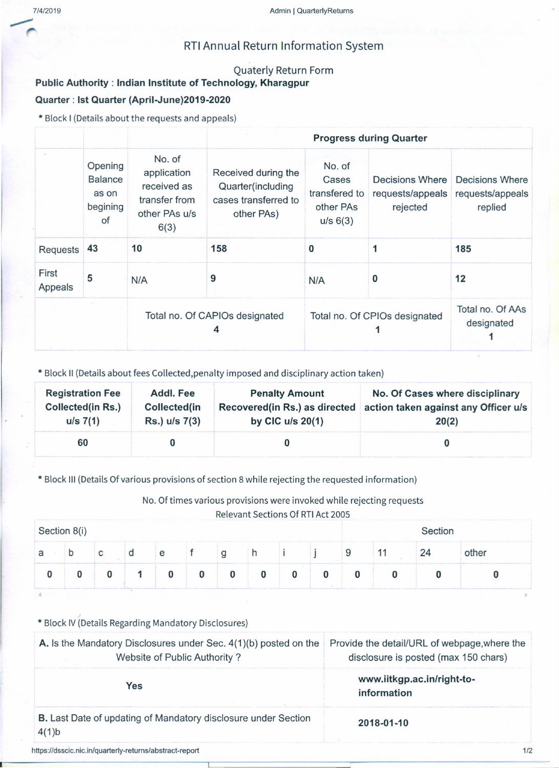# RTIAnnual Return Information System

#### Quaterly Return Form

## Public Authority: Indian Institute of Technology, Kharagpur Quarter: Ist Quarter (April-June)2019-2020

\* Block I (Detailsabout the requestsand appeals)

|                  |                                                      |                                                                                |                                                                                |                                                           | <b>Progress during Quarter</b>                  |                                                       |
|------------------|------------------------------------------------------|--------------------------------------------------------------------------------|--------------------------------------------------------------------------------|-----------------------------------------------------------|-------------------------------------------------|-------------------------------------------------------|
|                  | Opening<br><b>Balance</b><br>as on<br>begining<br>of | No. of<br>application<br>received as<br>transfer from<br>other PAs u/s<br>6(3) | Received during the<br>Quarter(including<br>cases transferred to<br>other PAs) | No. of<br>Cases<br>transfered to<br>other PAs<br>u/s 6(3) | Decisions Where<br>requests/appeals<br>rejected | <b>Decisions Where</b><br>requests/appeals<br>replied |
| Requests         | 43                                                   | 10                                                                             | 158                                                                            | 0                                                         |                                                 | 185                                                   |
| First<br>Appeals | 5                                                    | N/A                                                                            | 9                                                                              | N/A                                                       | 0                                               | 12                                                    |
|                  |                                                      |                                                                                | Total no. Of CAPIOs designated<br>4                                            |                                                           | Total no. Of CPIOs designated                   | Total no. Of AAs<br>designated                        |

\* Block II (Details about fees Collected,penalty imposed and disciplinary action taken)

| <b>Registration Fee</b>  | Addl. Fee     | <b>Penalty Amount</b>         | No. Of Cases where disciplinary      |
|--------------------------|---------------|-------------------------------|--------------------------------------|
| <b>Collected(in Rs.)</b> | Collected(in  | Recovered(in Rs.) as directed | action taken against any Officer u/s |
| $u/s \ 7(1)$             | Rs.) u/s 7(3) | by CIC $u/s$ 20(1)            | 20(2)                                |
| 60                       |               |                               |                                      |

\* Block III (Details Of various provisions of section 8 while rejecting the requested information)

No. Of times various provisions were invoked while rejecting requests

Relevant Sections Of RTI Act 2005

| Section 8(i) |  |                |  |   |          | Section  |          |  |   |  |    |       |
|--------------|--|----------------|--|---|----------|----------|----------|--|---|--|----|-------|
| a            |  |                |  | e |          |          | п        |  | У |  | 24 | other |
|              |  | $\sim 10^{-1}$ |  | 0 | $\bf{0}$ | $\bf{0}$ | $\bf{0}$ |  |   |  |    |       |

### \* Block IV (Details Regarding Mandatory Disclosures)

| A. Is the Mandatory Disclosures under Sec. 4(1)(b) posted on the<br>Website of Public Authority? | Provide the detail/URL of webpage, where the<br>disclosure is posted (max 150 chars) |  |  |  |
|--------------------------------------------------------------------------------------------------|--------------------------------------------------------------------------------------|--|--|--|
| Yes                                                                                              | www.iitkgp.ac.in/right-to-<br>information                                            |  |  |  |
| <b>B.</b> Last Date of updating of Mandatory disclosure under Section<br>$4(1)$ b                | 2018-01-10                                                                           |  |  |  |
| https://dsscic.nic.in/quarterly-returns/abstract-report                                          | 1/2                                                                                  |  |  |  |